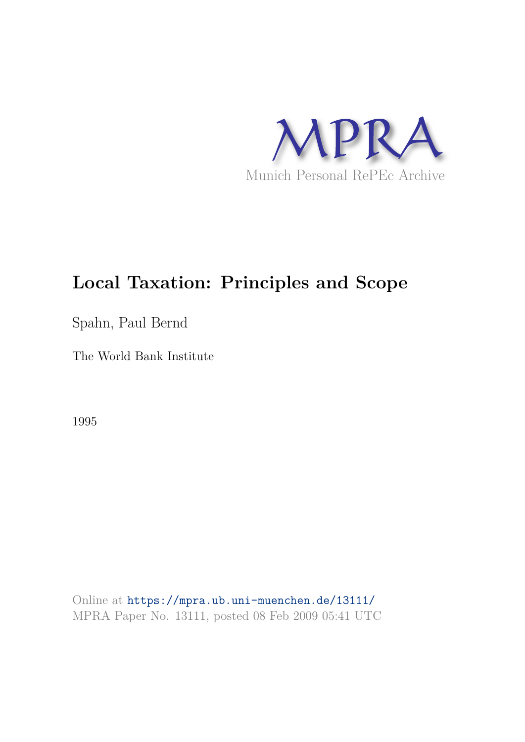

# **Local Taxation: Principles and Scope**

Spahn, Paul Bernd

The World Bank Institute

1995

Online at https://mpra.ub.uni-muenchen.de/13111/ MPRA Paper No. 13111, posted 08 Feb 2009 05:41 UTC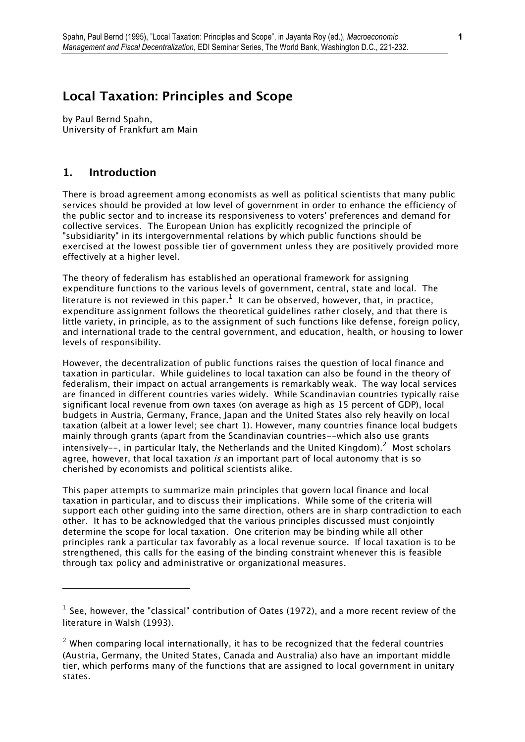# **Local Taxation: Principles and Scope**

*by Paul Bernd Spahn, University of Frankfurt am Main* 

### **1. Introduction**

j.

*There is broad agreement among economists as well as political scientists that many public services should be provided at low level of government in order to enhance the efficiency of the public sector and to increase its responsiveness to voters' preferences and demand for collective services. The European Union has explicitly recognized the principle of "subsidiarity" in its intergovernmental relations by which public functions should be exercised at the lowest possible tier of government unless they are positively provided more effectively at a higher level.* 

*The theory of federalism has established an operational framework for assigning expenditure functions to the various levels of government, central, state and local. The literature is not reviewed in this paper.<sup>1</sup> It can be observed, however, that, in practice, expenditure assignment follows the theoretical guidelines rather closely, and that there is little variety, in principle, as to the assignment of such functions like defense, foreign policy, and international trade to the central government, and education, health, or housing to lower levels of responsibility.* 

*However, the decentralization of public functions raises the question of local finance and taxation in particular. While guidelines to local taxation can also be found in the theory of federalism, their impact on actual arrangements is remarkably weak. The way local services are financed in different countries varies widely. While Scandinavian countries typically raise significant local revenue from own taxes (on average as high as 15 percent of GDP), local budgets in Austria, Germany, France, Japan and the United States also rely heavily on local taxation (albeit at a lower level; see chart 1). However, many countries finance local budgets mainly through grants (apart from the Scandinavian countries--which also use grants intensively--, in particular Italy, the Netherlands and the United Kingdom).<sup>2</sup> Most scholars agree, however, that local taxation* is *an important part of local autonomy that is so cherished by economists and political scientists alike.* 

*This paper attempts to summarize main principles that govern local finance and local taxation in particular, and to discuss their implications. While some of the criteria will support each other guiding into the same direction, others are in sharp contradiction to each other. It has to be acknowledged that the various principles discussed must conjointly determine the scope for local taxation. One criterion may be binding while all other principles rank a particular tax favorably as a local revenue source. If local taxation is to be strengthened, this calls for the easing of the binding constraint whenever this is feasible through tax policy and administrative or organizational measures.* 

 $^{\rm 1}$  See, however, the "classical" contribution of Oates (1972), and a more recent review of the *literature in Walsh (1993).* 

 $^{\rm 2}$  When comparing local internationally, it has to be recognized that the federal countries  $^{\rm 2}$ *(Austria, Germany, the United States, Canada and Australia) also have an important middle tier, which performs many of the functions that are assigned to local government in unitary states.*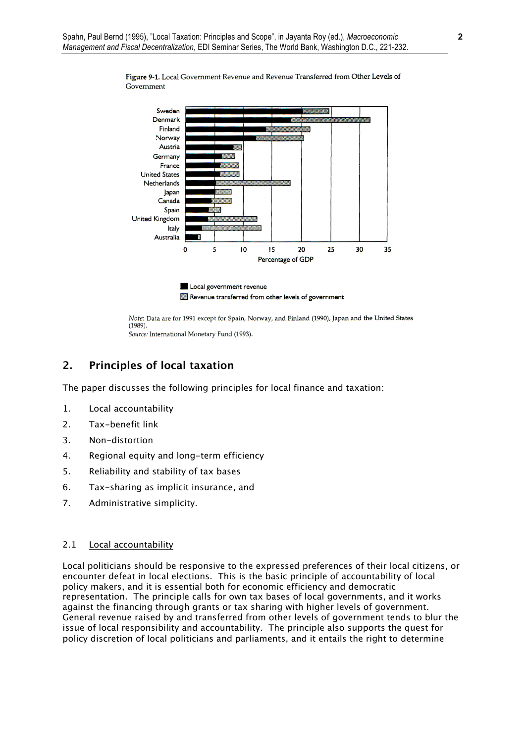

Figure 9-1. Local Government Revenue and Revenue Transferred from Other Levels of Government

Note: Data are for 1991 except for Spain, Norway, and Finland (1990), Japan and the United States

 $(1989).$ Source: International Monetary Fund (1993).

## **2. Principles of local taxation**

*The paper discusses the following principles for local finance and taxation:* 

- *1. Local accountability*
- *2. Tax-benefit link*
- *3. Non-distortion*
- *4. Regional equity and long-term efficiency*
- *5. Reliability and stability of tax bases*
- *6. Tax-sharing as implicit insurance, and*
- *7. Administrative simplicity.*

#### *2.1 Local accountability*

*Local politicians should be responsive to the expressed preferences of their local citizens, or encounter defeat in local elections. This is the basic principle of accountability of local policy makers, and it is essential both for economic efficiency and democratic representation. The principle calls for own tax bases of local governments, and it works against the financing through grants or tax sharing with higher levels of government. General revenue raised by and transferred from other levels of government tends to blur the issue of local responsibility and accountability. The principle also supports the quest for policy discretion of local politicians and parliaments, and it entails the right to determine*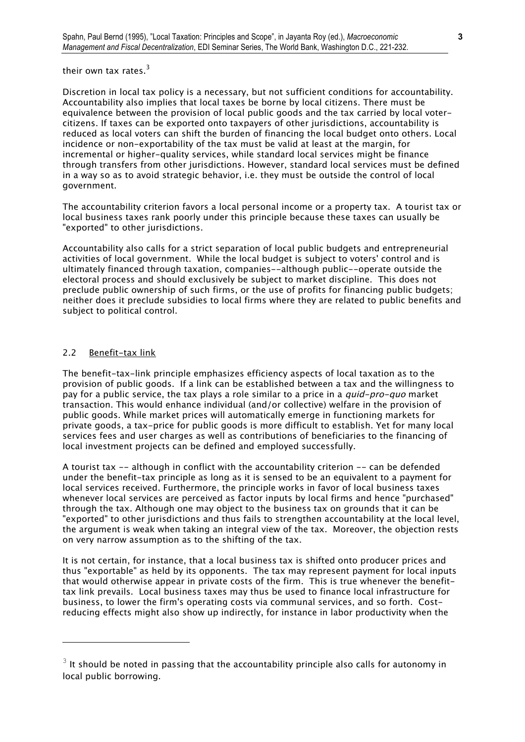*their own tax rates.<sup>3</sup>*

*Discretion in local tax policy is a necessary, but not sufficient conditions for accountability. Accountability also implies that local taxes be borne by local citizens. There must be equivalence between the provision of local public goods and the tax carried by local votercitizens. If taxes can be exported onto taxpayers of other jurisdictions, accountability is reduced as local voters can shift the burden of financing the local budget onto others. Local incidence or non-exportability of the tax must be valid at least at the margin, for incremental or higher-quality services, while standard local services might be finance through transfers from other jurisdictions. However, standard local services must be defined in a way so as to avoid strategic behavior, i.e. they must be outside the control of local government.* 

*The accountability criterion favors a local personal income or a property tax. A tourist tax or local business taxes rank poorly under this principle because these taxes can usually be "exported" to other jurisdictions.* 

*Accountability also calls for a strict separation of local public budgets and entrepreneurial activities of local government. While the local budget is subject to voters' control and is ultimately financed through taxation, companies--although public--operate outside the electoral process and should exclusively be subject to market discipline. This does not preclude public ownership of such firms, or the use of profits for financing public budgets; neither does it preclude subsidies to local firms where they are related to public benefits and subject to political control.* 

#### *2.2 Benefit-tax link*

j.

*The benefit-tax-link principle emphasizes efficiency aspects of local taxation as to the provision of public goods. If a link can be established between a tax and the willingness to pay for a public service, the tax plays a role similar to a price in a <i>quid-pro-quo* market *transaction. This would enhance individual (and/or collective) welfare in the provision of public goods. While market prices will automatically emerge in functioning markets for private goods, a tax-price for public goods is more difficult to establish. Yet for many local services fees and user charges as well as contributions of beneficiaries to the financing of local investment projects can be defined and employed successfully.* 

*A tourist tax -- although in conflict with the accountability criterion -- can be defended under the benefit-tax principle as long as it is sensed to be an equivalent to a payment for local services received. Furthermore, the principle works in favor of local business taxes whenever local services are perceived as factor inputs by local firms and hence "purchased" through the tax. Although one may object to the business tax on grounds that it can be "exported" to other jurisdictions and thus fails to strengthen accountability at the local level, the argument is weak when taking an integral view of the tax. Moreover, the objection rests on very narrow assumption as to the shifting of the tax.* 

*It is not certain, for instance, that a local business tax is shifted onto producer prices and thus "exportable" as held by its opponents. The tax may represent payment for local inputs that would otherwise appear in private costs of the firm. This is true whenever the benefittax link prevails. Local business taxes may thus be used to finance local infrastructure for business, to lower the firm's operating costs via communal services, and so forth. Costreducing effects might also show up indirectly, for instance in labor productivity when the* 

 $^3$  It should be noted in passing that the accountability principle also calls for autonomy in *local public borrowing.*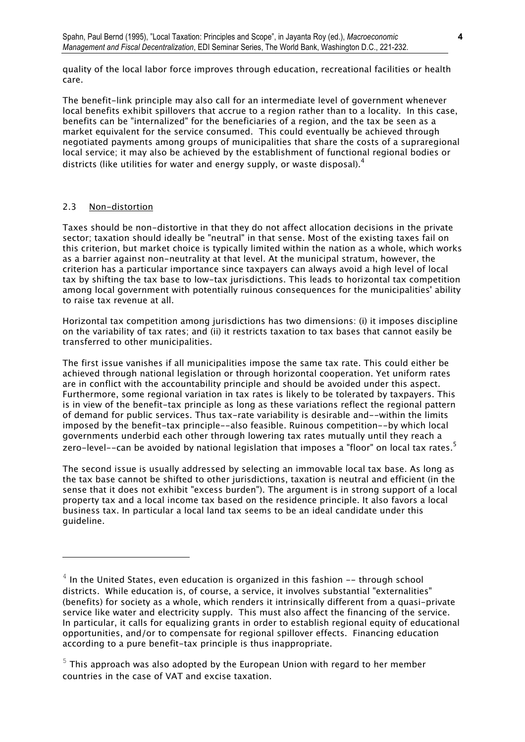*quality of the local labor force improves through education, recreational facilities or health care.* 

*The benefit-link principle may also call for an intermediate level of government whenever local benefits exhibit spillovers that accrue to a region rather than to a locality. In this case, benefits can be "internalized" for the beneficiaries of a region, and the tax be seen as a market equivalent for the service consumed. This could eventually be achieved through negotiated payments among groups of municipalities that share the costs of a supraregional local service; it may also be achieved by the establishment of functional regional bodies or districts (like utilities for water and energy supply, or waste disposal).<sup>4</sup>* 

#### *2.3 Non-distortion*

j.

*Taxes should be non-distortive in that they do not affect allocation decisions in the private sector; taxation should ideally be "neutral" in that sense. Most of the existing taxes fail on this criterion, but market choice is typically limited within the nation as a whole, which works as a barrier against non-neutrality at that level. At the municipal stratum, however, the criterion has a particular importance since taxpayers can always avoid a high level of local tax by shifting the tax base to low-tax jurisdictions. This leads to horizontal tax competition among local government with potentially ruinous consequences for the municipalities' ability to raise tax revenue at all.* 

*Horizontal tax competition among jurisdictions has two dimensions: (i) it imposes discipline on the variability of tax rates; and (ii) it restricts taxation to tax bases that cannot easily be transferred to other municipalities.* 

*The first issue vanishes if all municipalities impose the same tax rate. This could either be achieved through national legislation or through horizontal cooperation. Yet uniform rates are in conflict with the accountability principle and should be avoided under this aspect. Furthermore, some regional variation in tax rates is likely to be tolerated by taxpayers. This is in view of the benefit-tax principle as long as these variations reflect the regional pattern of demand for public services. Thus tax-rate variability is desirable and--within the limits*  imposed by the benefit-tax principle--also feasible. Ruinous competition--by which local *governments underbid each other through lowering tax rates mutually until they reach a zero-level--can be avoided by national legislation that imposes a "floor" on local tax rates.<sup>5</sup>*

*The second issue is usually addressed by selecting an immovable local tax base. As long as the tax base cannot be shifted to other jurisdictions, taxation is neutral and efficient (in the sense that it does not exhibit "excess burden"). The argument is in strong support of a local property tax and a local income tax based on the residence principle. It also favors a local business tax. In particular a local land tax seems to be an ideal candidate under this guideline.* 

<sup>&</sup>lt;sup>4</sup> In the United States, even education is organized in this fashion -- through school *districts. While education is, of course, a service, it involves substantial "externalities" (benefits) for society as a whole, which renders it intrinsically different from a quasi-private service like water and electricity supply. This must also affect the financing of the service.*  In particular, it calls for equalizing grants in order to establish regional equity of educational *opportunities, and/or to compensate for regional spillover effects. Financing education according to a pure benefit-tax principle is thus inappropriate.* 

 $^{\rm 5}$  This approach was also adopted by the European Union with regard to her member  $^{\rm 5}$ *countries in the case of VAT and excise taxation.*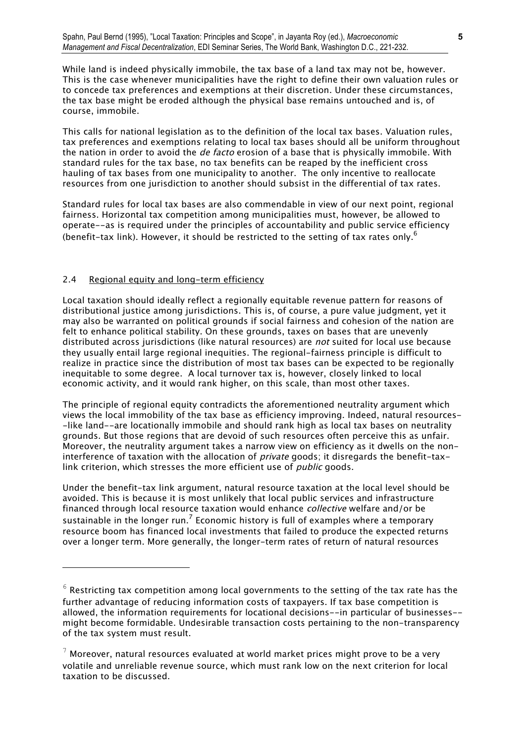*While land is indeed physically immobile, the tax base of a land tax may not be, however. This is the case whenever municipalities have the right to define their own valuation rules or to concede tax preferences and exemptions at their discretion. Under these circumstances, the tax base might be eroded although the physical base remains untouched and is, of course, immobile.* 

*This calls for national legislation as to the definition of the local tax bases. Valuation rules, tax preferences and exemptions relating to local tax bases should all be uniform throughout the nation in order to avoid the* de facto *erosion of a base that is physically immobile. With standard rules for the tax base, no tax benefits can be reaped by the inefficient cross hauling of tax bases from one municipality to another. The only incentive to reallocate resources from one jurisdiction to another should subsist in the differential of tax rates.* 

*Standard rules for local tax bases are also commendable in view of our next point, regional fairness. Horizontal tax competition among municipalities must, however, be allowed to operate--as is required under the principles of accountability and public service efficiency (benefit-tax link). However, it should be restricted to the setting of tax rates only.<sup>6</sup>*

#### *2.4 Regional equity and long-term efficiency*

L

*Local taxation should ideally reflect a regionally equitable revenue pattern for reasons of distributional justice among jurisdictions. This is, of course, a pure value judgment, yet it may also be warranted on political grounds if social fairness and cohesion of the nation are felt to enhance political stability. On these grounds, taxes on bases that are unevenly*  distributed across jurisdictions (like natural resources) are *not* suited for local use because *they usually entail large regional inequities. The regional-fairness principle is difficult to realize in practice since the distribution of most tax bases can be expected to be regionally inequitable to some degree. A local turnover tax is, however, closely linked to local economic activity, and it would rank higher, on this scale, than most other taxes.* 

*The principle of regional equity contradicts the aforementioned neutrality argument which views the local immobility of the tax base as efficiency improving. Indeed, natural resources- -like land--are locationally immobile and should rank high as local tax bases on neutrality grounds. But those regions that are devoid of such resources often perceive this as unfair. Moreover, the neutrality argument takes a narrow view on efficiency as it dwells on the non*interference of taxation with the allocation of *private* goods; it disregards the benefit-taxlink criterion, which stresses the more efficient use of *public* goods.

*Under the benefit-tax link argument, natural resource taxation at the local level should be avoided. This is because it is most unlikely that local public services and infrastructure financed through local resource taxation would enhance* collective *welfare and/or be sustainable in the longer run.<sup>7</sup> Economic history is full of examples where a temporary resource boom has financed local investments that failed to produce the expected returns over a longer term. More generally, the longer-term rates of return of natural resources* 

 $^6$  Restricting tax competition among local governments to the setting of the tax rate has the *further advantage of reducing information costs of taxpayers. If tax base competition is allowed, the information requirements for locational decisions--in particular of businesses- might become formidable. Undesirable transaction costs pertaining to the non-transparency of the tax system must result.* 

 $^7$  Moreover, natural resources evaluated at world market prices might prove to be a very  $^\dagger$ *volatile and unreliable revenue source, which must rank low on the next criterion for local taxation to be discussed.*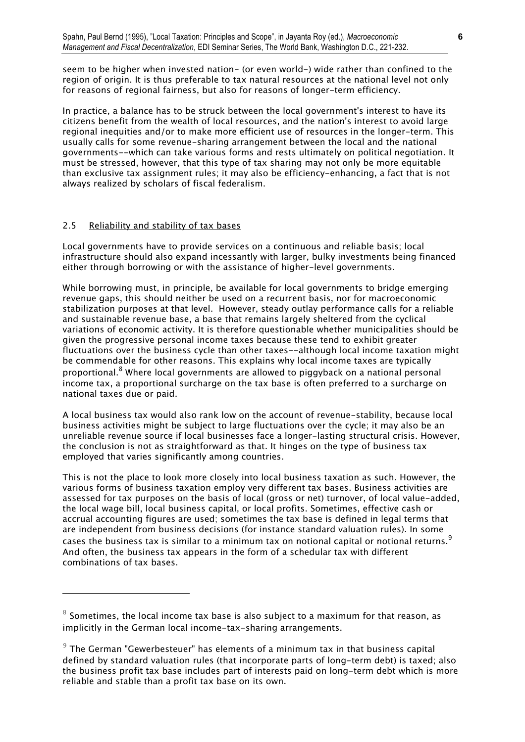*seem to be higher when invested nation- (or even world-) wide rather than confined to the region of origin. It is thus preferable to tax natural resources at the national level not only for reasons of regional fairness, but also for reasons of longer-term efficiency.* 

*In practice, a balance has to be struck between the local government's interest to have its citizens benefit from the wealth of local resources, and the nation's interest to avoid large regional inequities and/or to make more efficient use of resources in the longer-term. This usually calls for some revenue-sharing arrangement between the local and the national governments--which can take various forms and rests ultimately on political negotiation. It must be stressed, however, that this type of tax sharing may not only be more equitable than exclusive tax assignment rules; it may also be efficiency-enhancing, a fact that is not always realized by scholars of fiscal federalism.* 

#### *2.5 Reliability and stability of tax bases*

i.

*Local governments have to provide services on a continuous and reliable basis; local infrastructure should also expand incessantly with larger, bulky investments being financed either through borrowing or with the assistance of higher-level governments.* 

*While borrowing must, in principle, be available for local governments to bridge emerging revenue gaps, this should neither be used on a recurrent basis, nor for macroeconomic stabilization purposes at that level. However, steady outlay performance calls for a reliable and sustainable revenue base, a base that remains largely sheltered from the cyclical variations of economic activity. It is therefore questionable whether municipalities should be given the progressive personal income taxes because these tend to exhibit greater fluctuations over the business cycle than other taxes--although local income taxation might be commendable for other reasons. This explains why local income taxes are typically proportional.<sup>8</sup> Where local governments are allowed to piggyback on a national personal income tax, a proportional surcharge on the tax base is often preferred to a surcharge on national taxes due or paid.* 

*A local business tax would also rank low on the account of revenue-stability, because local business activities might be subject to large fluctuations over the cycle; it may also be an unreliable revenue source if local businesses face a longer-lasting structural crisis. However, the conclusion is not as straightforward as that. It hinges on the type of business tax employed that varies significantly among countries.*

*This is not the place to look more closely into local business taxation as such. However, the various forms of business taxation employ very different tax bases. Business activities are assessed for tax purposes on the basis of local (gross or net) turnover, of local value-added, the local wage bill, local business capital, or local profits. Sometimes, effective cash or accrual accounting figures are used; sometimes the tax base is defined in legal terms that are independent from business decisions (for instance standard valuation rules). In some cases the business tax is similar to a minimum tax on notional capital or notional returns.<sup>9</sup> And often, the business tax appears in the form of a schedular tax with different combinations of tax bases.* 

 $^8$  Sometimes, the local income tax base is also subject to a maximum for that reason, as  $^8$ *implicitly in the German local income-tax-sharing arrangements.* 

<sup>&</sup>lt;sup>9</sup> The German "Gewerbesteuer" has elements of a minimum tax in that business capital *defined by standard valuation rules (that incorporate parts of long-term debt) is taxed; also the business profit tax base includes part of interests paid on long-term debt which is more reliable and stable than a profit tax base on its own.*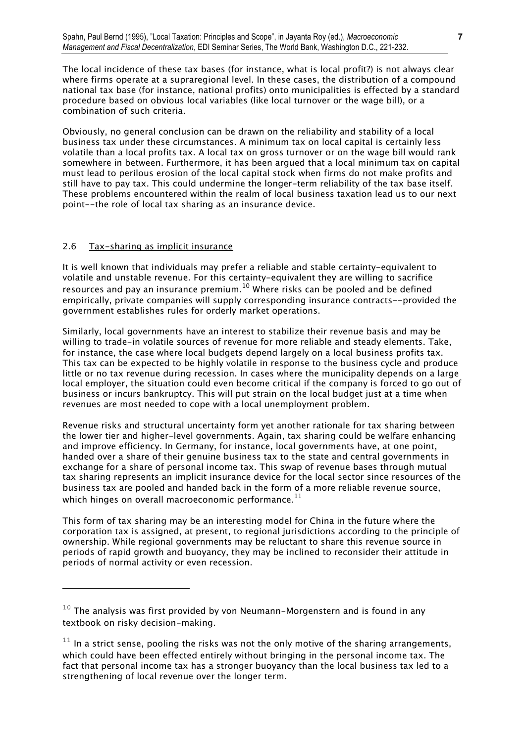*The local incidence of these tax bases (for instance, what is local profit?) is not always clear where firms operate at a supraregional level. In these cases, the distribution of a compound national tax base (for instance, national profits) onto municipalities is effected by a standard procedure based on obvious local variables (like local turnover or the wage bill), or a combination of such criteria.* 

*Obviously, no general conclusion can be drawn on the reliability and stability of a local business tax under these circumstances. A minimum tax on local capital is certainly less volatile than a local profits tax. A local tax on gross turnover or on the wage bill would rank somewhere in between. Furthermore, it has been argued that a local minimum tax on capital must lead to perilous erosion of the local capital stock when firms do not make profits and still have to pay tax. This could undermine the longer-term reliability of the tax base itself. These problems encountered within the realm of local business taxation lead us to our next point--the role of local tax sharing as an insurance device.* 

#### *2.6 Tax-sharing as implicit insurance*

j.

*It is well known that individuals may prefer a reliable and stable certainty-equivalent to volatile and unstable revenue. For this certainty-equivalent they are willing to sacrifice resources and pay an insurance premium.10 Where risks can be pooled and be defined empirically, private companies will supply corresponding insurance contracts--provided the government establishes rules for orderly market operations.* 

*Similarly, local governments have an interest to stabilize their revenue basis and may be willing to trade-in volatile sources of revenue for more reliable and steady elements. Take, for instance, the case where local budgets depend largely on a local business profits tax. This tax can be expected to be highly volatile in response to the business cycle and produce little or no tax revenue during recession. In cases where the municipality depends on a large local employer, the situation could even become critical if the company is forced to go out of business or incurs bankruptcy. This will put strain on the local budget just at a time when revenues are most needed to cope with a local unemployment problem.* 

*Revenue risks and structural uncertainty form yet another rationale for tax sharing between the lower tier and higher-level governments. Again, tax sharing could be welfare enhancing and improve efficiency. In Germany, for instance, local governments have, at one point, handed over a share of their genuine business tax to the state and central governments in exchange for a share of personal income tax. This swap of revenue bases through mutual tax sharing represents an implicit insurance device for the local sector since resources of the business tax are pooled and handed back in the form of a more reliable revenue source, which hinges on overall macroeconomic performance.<sup>11</sup>* 

*This form of tax sharing may be an interesting model for China in the future where the corporation tax is assigned, at present, to regional jurisdictions according to the principle of ownership. While regional governments may be reluctant to share this revenue source in periods of rapid growth and buoyancy, they may be inclined to reconsider their attitude in periods of normal activity or even recession.* 

<sup>&</sup>lt;sup>10</sup> The analysis was first provided by von Neumann-Morgenstern and is found in any *textbook on risky decision-making.* 

 $11$  In a strict sense, pooling the risks was not the only motive of the sharing arrangements, *which could have been effected entirely without bringing in the personal income tax. The fact that personal income tax has a stronger buoyancy than the local business tax led to a strengthening of local revenue over the longer term.*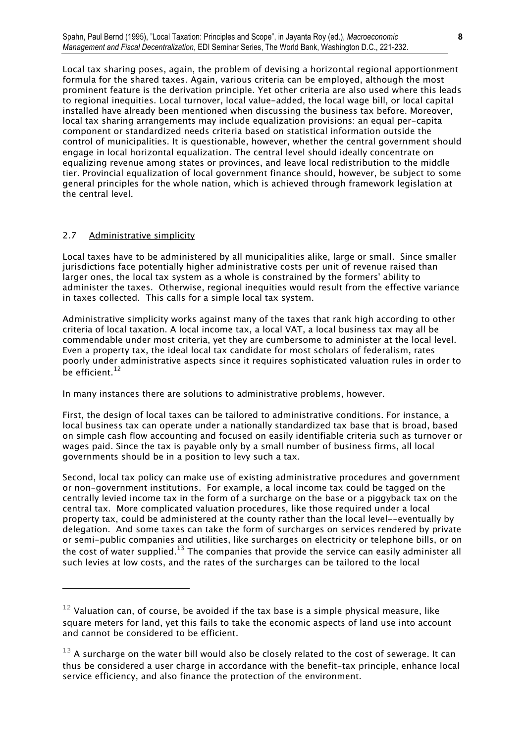*Local tax sharing poses, again, the problem of devising a horizontal regional apportionment formula for the shared taxes. Again, various criteria can be employed, although the most prominent feature is the derivation principle. Yet other criteria are also used where this leads to regional inequities. Local turnover, local value-added, the local wage bill, or local capital installed have already been mentioned when discussing the business tax before. Moreover, local tax sharing arrangements may include equalization provisions: an equal per-capita component or standardized needs criteria based on statistical information outside the control of municipalities. It is questionable, however, whether the central government should engage in local horizontal equalization. The central level should ideally concentrate on equalizing revenue among states or provinces, and leave local redistribution to the middle tier. Provincial equalization of local government finance should, however, be subject to some general principles for the whole nation, which is achieved through framework legislation at the central level.* 

#### *2.7 Administrative simplicity*

j.

*Local taxes have to be administered by all municipalities alike, large or small. Since smaller jurisdictions face potentially higher administrative costs per unit of revenue raised than larger ones, the local tax system as a whole is constrained by the formers' ability to administer the taxes. Otherwise, regional inequities would result from the effective variance in taxes collected. This calls for a simple local tax system.* 

*Administrative simplicity works against many of the taxes that rank high according to other criteria of local taxation. A local income tax, a local VAT, a local business tax may all be commendable under most criteria, yet they are cumbersome to administer at the local level. Even a property tax, the ideal local tax candidate for most scholars of federalism, rates poorly under administrative aspects since it requires sophisticated valuation rules in order to be efficient.<sup>12</sup>* 

*In many instances there are solutions to administrative problems, however.* 

*First, the design of local taxes can be tailored to administrative conditions. For instance, a local business tax can operate under a nationally standardized tax base that is broad, based on simple cash flow accounting and focused on easily identifiable criteria such as turnover or wages paid. Since the tax is payable only by a small number of business firms, all local governments should be in a position to levy such a tax.* 

*Second, local tax policy can make use of existing administrative procedures and government or non-government institutions. For example, a local income tax could be tagged on the centrally levied income tax in the form of a surcharge on the base or a piggyback tax on the central tax. More complicated valuation procedures, like those required under a local property tax, could be administered at the county rather than the local level--eventually by delegation. And some taxes can take the form of surcharges on services rendered by private or semi-public companies and utilities, like surcharges on electricity or telephone bills, or on the cost of water supplied.13 The companies that provide the service can easily administer all such levies at low costs, and the rates of the surcharges can be tailored to the local* 

<sup>12</sup> *Valuation can, of course, be avoided if the tax base is a simple physical measure, like square meters for land, yet this fails to take the economic aspects of land use into account and cannot be considered to be efficient.* 

<sup>&</sup>lt;sup>13</sup> A surcharge on the water bill would also be closely related to the cost of sewerage. It can *thus be considered a user charge in accordance with the benefit-tax principle, enhance local service efficiency, and also finance the protection of the environment.*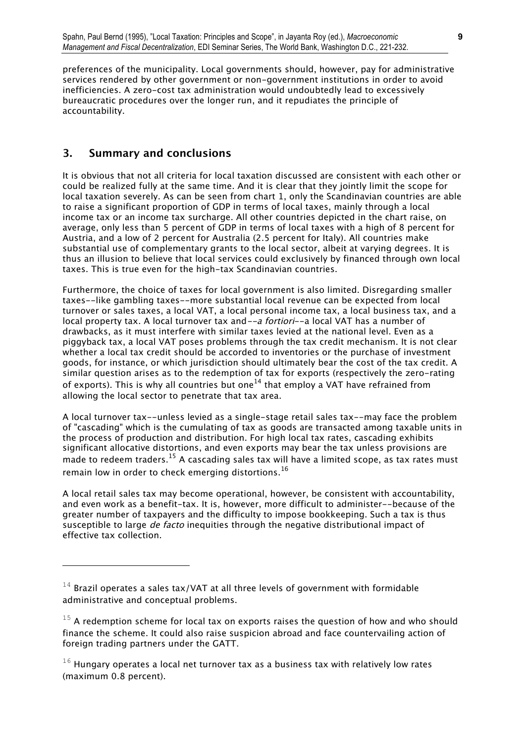*preferences of the municipality. Local governments should, however, pay for administrative services rendered by other government or non-government institutions in order to avoid inefficiencies. A zero-cost tax administration would undoubtedly lead to excessively bureaucratic procedures over the longer run, and it repudiates the principle of accountability.* 

# **3. Summary and conclusions**

j.

*It is obvious that not all criteria for local taxation discussed are consistent with each other or could be realized fully at the same time. And it is clear that they jointly limit the scope for local taxation severely. As can be seen from chart 1, only the Scandinavian countries are able to raise a significant proportion of GDP in terms of local taxes, mainly through a local income tax or an income tax surcharge. All other countries depicted in the chart raise, on average, only less than 5 percent of GDP in terms of local taxes with a high of 8 percent for Austria, and a low of 2 percent for Australia (2.5 percent for Italy). All countries make substantial use of complementary grants to the local sector, albeit at varying degrees. It is thus an illusion to believe that local services could exclusively by financed through own local taxes. This is true even for the high-tax Scandinavian countries.* 

*Furthermore, the choice of taxes for local government is also limited. Disregarding smaller taxes--like gambling taxes--more substantial local revenue can be expected from local turnover or sales taxes, a local VAT, a local personal income tax, a local business tax, and a local property tax. A local turnover tax and*--a fortiori*--a local VAT has a number of drawbacks, as it must interfere with similar taxes levied at the national level. Even as a piggyback tax, a local VAT poses problems through the tax credit mechanism. It is not clear whether a local tax credit should be accorded to inventories or the purchase of investment goods, for instance, or which jurisdiction should ultimately bear the cost of the tax credit. A similar question arises as to the redemption of tax for exports (respectively the zero-rating of exports). This is why all countries but one14 that employ a VAT have refrained from allowing the local sector to penetrate that tax area.* 

*A local turnover tax--unless levied as a single-stage retail sales tax--may face the problem of "cascading" which is the cumulating of tax as goods are transacted among taxable units in the process of production and distribution. For high local tax rates, cascading exhibits significant allocative distortions, and even exports may bear the tax unless provisions are made to redeem traders.15 A cascading sales tax will have a limited scope, as tax rates must remain low in order to check emerging distortions.<sup>16</sup>* 

*A local retail sales tax may become operational, however, be consistent with accountability, and even work as a benefit-tax. It is, however, more difficult to administer--because of the greater number of taxpayers and the difficulty to impose bookkeeping. Such a tax is thus susceptible to large* de facto *inequities through the negative distributional impact of effective tax collection.* 

<sup>14</sup> *Brazil operates a sales tax/VAT at all three levels of government with formidable administrative and conceptual problems.* 

<sup>15</sup> *A redemption scheme for local tax on exports raises the question of how and who should*  finance the scheme. It could also raise suspicion abroad and face countervailing action of *foreign trading partners under the GATT.* 

<sup>16</sup> *Hungary operates a local net turnover tax as a business tax with relatively low rates (maximum 0.8 percent).*